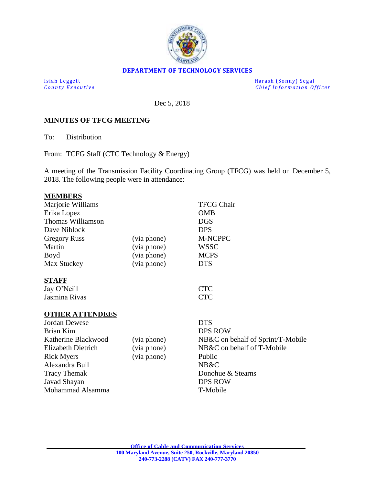

#### **DEPARTMENT OF TECHNOLOGY SERVICES**

Isiah Leggett Harash (Sonny) Segal<br>
County Executive Chief Information Of *Chief Information Officer* 

Dec 5, 2018

#### **MINUTES OF TFCG MEETING**

To: Distribution

From: TCFG Staff (CTC Technology & Energy)

A meeting of the Transmission Facility Coordinating Group (TFCG) was held on December 5, 2018. The following people were in attendance:

#### **MEMBERS**

| Marjorie Williams      |             | <b>TFCG Chair</b>                 |
|------------------------|-------------|-----------------------------------|
| Erika Lopez            |             | <b>OMB</b>                        |
| Thomas Williamson      |             | <b>DGS</b>                        |
| Dave Niblock           |             | <b>DPS</b>                        |
| <b>Gregory Russ</b>    | (via phone) | M-NCPPC                           |
| Martin                 | (via phone) | <b>WSSC</b>                       |
| Boyd                   | (via phone) | <b>MCPS</b>                       |
| Max Stuckey            | (via phone) | <b>DTS</b>                        |
| <b>STAFF</b>           |             |                                   |
| Jay O'Neill            |             | <b>CTC</b>                        |
| Jasmina Rivas          |             | <b>CTC</b>                        |
| <b>OTHER ATTENDEES</b> |             |                                   |
| Jordan Dewese          |             | <b>DTS</b>                        |
| Brian Kim              |             | <b>DPS ROW</b>                    |
| Katherine Blackwood    | (via phone) | NB&C on behalf of Sprint/T-Mobile |
| Elizabeth Dietrich     | (via phone) | NB&C on behalf of T-Mobile        |
| <b>Rick Myers</b>      | (via phone) | Public                            |
| Alexandra Bull         |             | NB&C                              |
| <b>Tracy Themak</b>    |             | Donohue & Stearns                 |
| Javad Shayan           |             | <b>DPS ROW</b>                    |
| Mohammad Alsamma       |             | T-Mobile                          |
|                        |             |                                   |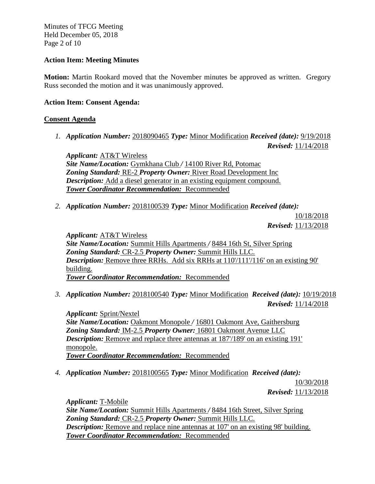Minutes of TFCG Meeting Held December 05, 2018 Page 2 of 10

### **Action Item: Meeting Minutes**

**Motion:** Martin Rookard moved that the November minutes be approved as written. Gregory Russ seconded the motion and it was unanimously approved.

### **Action Item: Consent Agenda:**

### **Consent Agenda**

*1. Application Number:* 2018090465 *Type:* Minor Modification *Received (date):* 9/19/2018 *Revised:* 11/14/2018

*Applicant:* AT&T Wireless *Site Name/Location:* Gymkhana Club */* 14100 River Rd, Potomac *Zoning Standard:* RE-2 *Property Owner:* River Road Development Inc *Description:* Add a diesel generator in an existing equipment compound. *Tower Coordinator Recommendation:* Recommended

*2. Application Number:* 2018100539 *Type:* Minor Modification *Received (date):*

10/18/2018 *Revised:* 11/13/2018

*Applicant:* AT&T Wireless *Site Name/Location:* Summit Hills Apartments */* 8484 16th St, Silver Spring *Zoning Standard:* CR-2.5 *Property Owner:* Summit Hills LLC. **Description:** Remove three RRHs. Add six RRHs at 110/111/116' on an existing 90' building. *Tower Coordinator Recommendation:* Recommended

*3. Application Number:* 2018100540 *Type:* Minor Modification *Received (date):* 10/19/2018 *Revised:* 11/14/2018

*Applicant:* Sprint/Nextel *Site Name/Location:* Oakmont Monopole */* 16801 Oakmont Ave, Gaithersburg *Zoning Standard:* IM-2.5 *Property Owner:* 16801 Oakmont Avenue LLC *Description:* Remove and replace three antennas at 187/189' on an existing 191' monopole. *Tower Coordinator Recommendation:* Recommended

*4. Application Number:* 2018100565 *Type:* Minor Modification *Received (date):*

10/30/2018 *Revised:* 11/13/2018

*Applicant:* T-Mobile *Site Name/Location:* Summit Hills Apartments */* 8484 16th Street, Silver Spring *Zoning Standard:* CR-2.5 *Property Owner:* Summit Hills LLC. *Description:* Remove and replace nine antennas at 107' on an existing 98' building. *Tower Coordinator Recommendation:* Recommended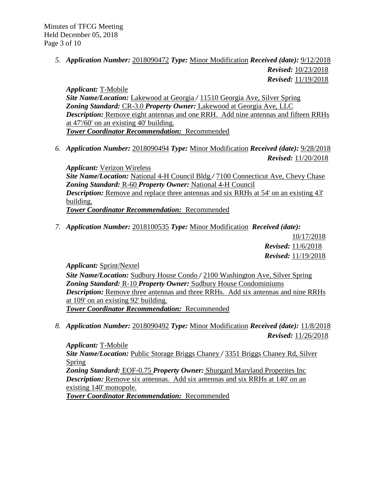Minutes of TFCG Meeting Held December 05, 2018 Page 3 of 10

> *5. Application Number:* 2018090472 *Type:* Minor Modification *Received (date):* 9/12/2018 *Revised:* 10/23/2018 *Revised:* 11/19/2018

*Applicant:* T-Mobile *Site Name/Location:* Lakewood at Georgia */* 11510 Georgia Ave, Silver Spring *Zoning Standard:* CR-3.0 *Property Owner:* Lakewood at Georgia Ave, LLC *Description:* Remove eight antennas and one RRH. Add nine antennas and fifteen RRHs at 47'/60' on an existing 40' building. *Tower Coordinator Recommendation:* Recommended

*6. Application Number:* 2018090494 *Type:* Minor Modification *Received (date):* 9/28/2018 *Revised:* 11/20/2018

*Applicant:* Verizon Wireless *Site Name/Location:* National 4-H Council Bldg */* 7100 Connecticut Ave, Chevy Chase *Zoning Standard:* R-60 *Property Owner:* National 4-H Council *Description:* Remove and replace three antennas and six RRHs at 54' on an existing 43' building. *Tower Coordinator Recommendation:* Recommended

*7. Application Number:* 2018100535 *Type:* Minor Modification *Received (date):* 

10/17/2018 *Revised:* 11/6/2018 *Revised:* 11/19/2018

*Applicant:* Sprint/Nextel

*Site Name/Location:* Sudbury House Condo */* 2100 Washington Ave, Silver Spring *Zoning Standard:* R-10 *Property Owner:* Sudbury House Condominiums *Description:* Remove three antennas and three RRHs. Add six antennas and nine RRHs at 109' on an existing 92' building. *Tower Coordinator Recommendation:* Recommended

*8. Application Number:* 2018090492 *Type:* Minor Modification *Received (date):* 11/8/2018 *Revised:* 11/26/2018

*Applicant:* T-Mobile *Site Name/Location:* Public Storage Briggs Chaney */* 3351 Briggs Chaney Rd, Silver Spring *Zoning Standard:* EOF-0.75 *Property Owner:* Shurgard Maryland Properites Inc *Description:* Remove six antennas. Add six antennas and six RRHs at 140' on an existing 140' monopole. *Tower Coordinator Recommendation:* Recommended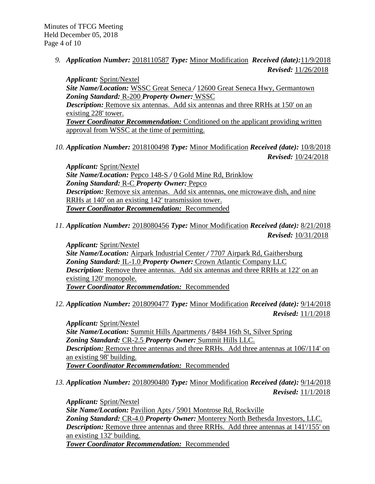*9. Application Number:* 2018110587 *Type:* Minor Modification *Received (date):*11/9/2018 *Revised:* 11/26/2018

*Applicant:* Sprint/Nextel *Site Name/Location:* WSSC Great Seneca */* 12600 Great Seneca Hwy, Germantown *Zoning Standard:* R-200 *Property Owner:* WSSC *Description:* Remove six antennas. Add six antennas and three RRHs at 150' on an existing 228' tower. **Tower Coordinator Recommendation:** Conditioned on the applicant providing written approval from WSSC at the time of permitting.

*10. Application Number:* 2018100498 *Type:* Minor Modification *Received (date):* 10/8/2018 *Revised:* 10/24/2018

*Applicant:* Sprint/Nextel *Site Name/Location:* Pepco 148-S */* 0 Gold Mine Rd, Brinklow *Zoning Standard:* R-C *Property Owner:* Pepco *Description:* Remove six antennas. Add six antennas, one microwave dish, and nine RRHs at 140' on an existing 142' transmission tower. *Tower Coordinator Recommendation:* Recommended

*11. Application Number:* 2018080456 *Type:* Minor Modification *Received (date):* 8/21/2018 *Revised:* 10/31/2018

*Applicant:* Sprint/Nextel *Site Name/Location:* Airpark Industrial Center */* 7707 Airpark Rd, Gaithersburg *Zoning Standard:* IL-1.0 *Property Owner:* Crown Atlantic Company LLC *Description:* Remove three antennas. Add six antennas and three RRHs at 122' on an existing 120' monopole. *Tower Coordinator Recommendation:* Recommended

*12. Application Number:* 2018090477 *Type:* Minor Modification *Received (date):* 9/14/2018 *Revised:* 11/1/2018

*Applicant:* Sprint/Nextel *Site Name/Location:* Summit Hills Apartments */* 8484 16th St, Silver Spring *Zoning Standard:* CR-2.5 *Property Owner:* Summit Hills LLC. *Description:* Remove three antennas and three RRHs. Add three antennas at 106/114' on an existing 98' building. *Tower Coordinator Recommendation:* Recommended

*13. Application Number:* 2018090480 *Type:* Minor Modification *Received (date):* 9/14/2018 *Revised:* 11/1/2018

*Applicant:* Sprint/Nextel *Site Name/Location:* Pavilion Apts */* 5901 Montrose Rd, Rockville *Zoning Standard:* CR-4.0 *Property Owner:* Monterey North Bethesda Investors, LLC. *Description:* Remove three antennas and three RRHs. Add three antennas at 141/155' on an existing 132' building. *Tower Coordinator Recommendation:* Recommended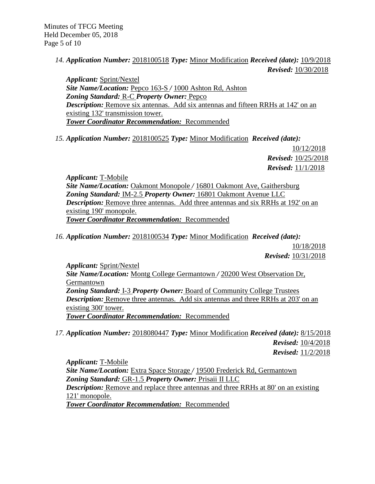*14. Application Number:* 2018100518 *Type:* Minor Modification *Received (date):* 10/9/2018 *Revised:* 10/30/2018

*Applicant:* Sprint/Nextel *Site Name/Location:* Pepco 163-S */* 1000 Ashton Rd, Ashton *Zoning Standard:* R-C *Property Owner:* Pepco *Description:* Remove six antennas. Add six antennas and fifteen RRHs at 142' on an existing 132' transmission tower. *Tower Coordinator Recommendation:* Recommended

*15. Application Number:* 2018100525 *Type:* Minor Modification *Received (date):*

10/12/2018 *Revised:* 10/25/2018 *Revised:* 11/1/2018

*Applicant:* T-Mobile *Site Name/Location:* Oakmont Monopole */* 16801 Oakmont Ave, Gaithersburg *Zoning Standard:* IM-2.5 *Property Owner:* 16801 Oakmont Avenue LLC *Description:* Remove three antennas. Add three antennas and six RRHs at 192' on an existing 190' monopole. *Tower Coordinator Recommendation:* Recommended

*16. Application Number:* 2018100534 *Type:* Minor Modification *Received (date):*

10/18/2018 *Revised:* 10/31/2018

*Applicant:* Sprint/Nextel *Site Name/Location:* Montg College Germantown */* 20200 West Observation Dr, Germantown *Zoning Standard:* I-3 *Property Owner:* Board of Community College Trustees *Description:* Remove three antennas. Add six antennas and three RRHs at 203' on an existing 300' tower. *Tower Coordinator Recommendation:* Recommended

*17. Application Number:* 2018080447 *Type:* Minor Modification *Received (date):* 8/15/2018 *Revised:* 10/4/2018 *Revised:* 11/2/2018

*Applicant:* T-Mobile *Site Name/Location:* Extra Space Storage */* 19500 Frederick Rd, Germantown *Zoning Standard:* GR-1.5 *Property Owner:* Prisaii II LLC *Description:* Remove and replace three antennas and three RRHs at 80' on an existing 121' monopole. *Tower Coordinator Recommendation:* Recommended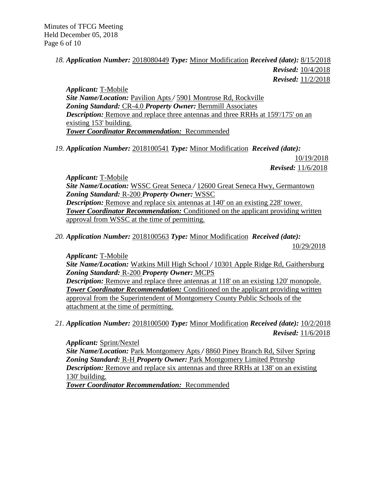## *18. Application Number:* 2018080449 *Type:* Minor Modification *Received (date):* 8/15/2018 *Revised:* 10/4/2018 *Revised:* 11/2/2018

*Applicant:* T-Mobile *Site Name/Location:* Pavilion Apts */* 5901 Montrose Rd, Rockville *Zoning Standard:* CR-4.0 *Property Owner:* Bernmill Associates *Description:* Remove and replace three antennas and three RRHs at 159'/175' on an existing 153' building. *Tower Coordinator Recommendation:* Recommended

*19. Application Number:* 2018100541 *Type:* Minor Modification *Received (date):*

10/19/2018 *Revised:* 11/6/2018

*Applicant:* T-Mobile *Site Name/Location:* WSSC Great Seneca */* 12600 Great Seneca Hwy, Germantown *Zoning Standard:* R-200 *Property Owner:* WSSC *Description:* Remove and replace six antennas at 140' on an existing 228' tower. **Tower Coordinator Recommendation:** Conditioned on the applicant providing written approval from WSSC at the time of permitting.

*20. Application Number:* 2018100563 *Type:* Minor Modification *Received (date):*

10/29/2018

*Applicant:* T-Mobile

*Site Name/Location:* Watkins Mill High School */* 10301 Apple Ridge Rd, Gaithersburg *Zoning Standard:* R-200 *Property Owner:* MCPS

*Description:* Remove and replace three antennas at 118' on an existing 120' monopole. *Tower Coordinator Recommendation:* Conditioned on the applicant providing written approval from the Superintendent of Montgomery County Public Schools of the attachment at the time of permitting.

# *21. Application Number:* 2018100500 *Type:* Minor Modification *Received (date):* 10/2/2018 *Revised:* 11/6/2018

*Applicant:* Sprint/Nextel *Site Name/Location:* Park Montgomery Apts */* 8860 Piney Branch Rd, Silver Spring *Zoning Standard:* R-H *Property Owner:* Park Montgomery Limited Prtnrshp *Description:* Remove and replace six antennas and three RRHs at 138' on an existing 130' building. *Tower Coordinator Recommendation:* Recommended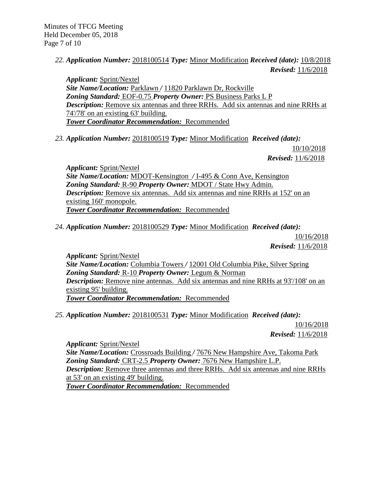*22. Application Number:* 2018100514 *Type:* Minor Modification *Received (date):* 10/8/2018 *Revised:* 11/6/2018

*Applicant:* Sprint/Nextel *Site Name/Location:* Parklawn */* 11820 Parklawn Dr, Rockville *Zoning Standard:* EOF-0.75 *Property Owner:* PS Business Parks L P *Description:* Remove six antennas and three RRHs. Add six antennas and nine RRHs at 74'/78' on an existing 63' building. *Tower Coordinator Recommendation:* Recommended

*23. Application Number:* 2018100519 *Type:* Minor Modification *Received (date):*

10/10/2018 *Revised:* 11/6/2018

*Applicant:* Sprint/Nextel *Site Name/Location:* MDOT-Kensington */* I-495 & Conn Ave, Kensington *Zoning Standard:* R-90 *Property Owner:* MDOT / State Hwy Admin. *Description:* Remove six antennas. Add six antennas and nine RRHs at 152' on an existing 160' monopole. *Tower Coordinator Recommendation:* Recommended

*24. Application Number:* 2018100529 *Type:* Minor Modification *Received (date):*

10/16/2018 *Revised:* 11/6/2018

*Applicant:* Sprint/Nextel *Site Name/Location:* Columbia Towers */* 12001 Old Columbia Pike, Silver Spring *Zoning Standard:* R-10 *Property Owner:* Legum & Norman *Description:* Remove nine antennas. Add six antennas and nine RRHs at 93'/108' on an existing 95' building. *Tower Coordinator Recommendation:* Recommended

*25. Application Number:* 2018100531 *Type:* Minor Modification *Received (date):*

10/16/2018 *Revised:* 11/6/2018

*Applicant:* Sprint/Nextel *Site Name/Location:* Crossroads Building */* 7676 New Hampshire Ave, Takoma Park *Zoning Standard:* CRT-2.5 *Property Owner:* 7676 New Hampshire L.P. *Description:* Remove three antennas and three RRHs. Add six antennas and nine RRHs at 53' on an existing 49' building. *Tower Coordinator Recommendation:* Recommended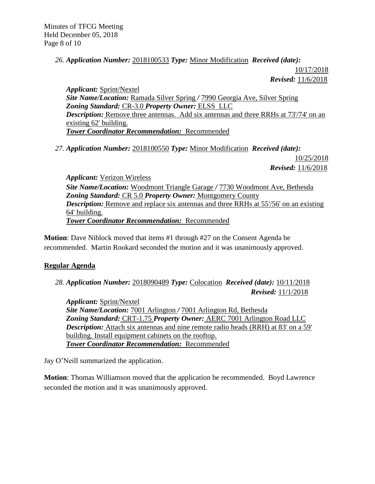## *26. Application Number:* 2018100533 *Type:* Minor Modification *Received (date):*

10/17/2018 *Revised:* 11/6/2018

*Applicant:* Sprint/Nextel *Site Name/Location:* Ramada Silver Spring */* 7990 Georgia Ave, Silver Spring *Zoning Standard:* CR-3.0 *Property Owner:* ELSS LLC *Description:* Remove three antennas. Add six antennas and three RRHs at 73'/74' on an existing 62' building. *Tower Coordinator Recommendation:* Recommended

*27. Application Number:* 2018100550 *Type:* Minor Modification *Received (date):* 

10/25/2018 *Revised:* 11/6/2018

*Applicant:* Verizon Wireless *Site Name/Location:* Woodmont Triangle Garage */* 7730 Woodmont Ave, Bethesda *Zoning Standard:* CR 5.0 *Property Owner:* Montgomery County *Description:* Remove and replace six antennas and three RRHs at 55'/56' on an existing 64' building. *Tower Coordinator Recommendation:* Recommended

**Motion**: Dave Niblock moved that items #1 through #27 on the Consent Agenda be recommended. Martin Rookard seconded the motion and it was unanimously approved.

## **Regular Agenda**

*28. Application Number:* 2018090489 *Type:* Colocation *Received (date):* 10/11/2018 *Revised:* 11/1/2018

*Applicant:* Sprint/Nextel *Site Name/Location:* 7001 Arlington */* 7001 Arlington Rd, Bethesda *Zoning Standard:* CRT-1.75 *Property Owner:* AERC 7001 Arlington Road LLC **Description:** Attach six antennas and nine remote radio heads (RRH) at 83' on a 59' building. Install equipment cabinets on the rooftop. *Tower Coordinator Recommendation:* Recommended

Jay O'Neill summarized the application.

**Motion**: Thomas Williamson moved that the application be recommended. Boyd Lawrence seconded the motion and it was unanimously approved.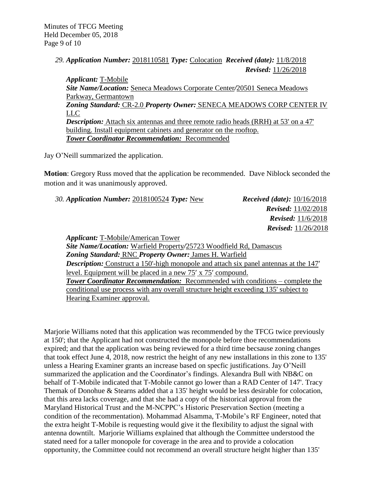Minutes of TFCG Meeting Held December 05, 2018 Page 9 of 10

> *29. Application Number:* 2018110581 *Type:* Colocation *Received (date):* 11/8/2018 *Revised:* 11/26/2018

*Applicant:* T-Mobile *Site Name/Location:* Seneca Meadows Corporate Center*/*20501 Seneca Meadows Parkway, Germantown *Zoning Standard:* CR-2.0 *Property Owner:* SENECA MEADOWS CORP CENTER IV LLC **Description:** Attach six antennas and three remote radio heads (RRH) at 53' on a 47' building. Install equipment cabinets and generator on the rooftop. *Tower Coordinator Recommendation:* Recommended

Jay O'Neill summarized the application.

**Motion**: Gregory Russ moved that the application be recommended. Dave Niblock seconded the motion and it was unanimously approved.

*30. Application Number:* 2018100524 *Type:* New *Received (date):* 10/16/2018

 *Revised:* 11/02/2018  *Revised:* 11/6/2018  *Revised:* 11/26/2018

*Applicant:* T-Mobile/American Tower

*Site Name/Location:* Warfield Property*/*25723 Woodfield Rd, Damascus *Zoning Standard:* RNC *Property Owner:* James H. Warfield *Description:* Construct a 150'-high monopole and attach six panel antennas at the 147' level. Equipment will be placed in a new 75' x 75' compound. *Tower Coordinator Recommendation:* Recommended with conditions – complete the conditional use process with any overall structure height exceeding 135' subject to Hearing Examiner approval.

Marjorie Williams noted that this application was recommended by the TFCG twice previously at 150'; that the Applicant had not constructed the monopole before thoe recommendations expired; and that the application was being reviewed for a third time becsause zoning changes that took effect June 4, 2018, now restrict the height of any new installations in this zone to 135' unless a Hearing Examiner grants an increase based on specfic justifications. Jay O'Neill summarized the application and the Coordinator's findings. Alexandra Bull with NB&C on behalf of T-Mobile indicated that T-Mobile cannot go lower than a RAD Center of 147'. Tracy Themak of Donohue & Stearns added that a 135' height would be less desirable for colocation, that this area lacks coverage, and that she had a copy of the historical approval from the Maryland Historical Trust and the M-NCPPC's Historic Preservation Section (meeting a condition of the recommentation). Mohammad Alsamma, T-Mobile's RF Engineer, noted that the extra height T-Mobile is requesting would give it the flexibility to adjust the signal with antenna downtilt. Marjorie Williams explained that although the Committee understood the stated need for a taller monopole for coverage in the area and to provide a colocation opportunity, the Committee could not recommend an overall structure height higher than 135'